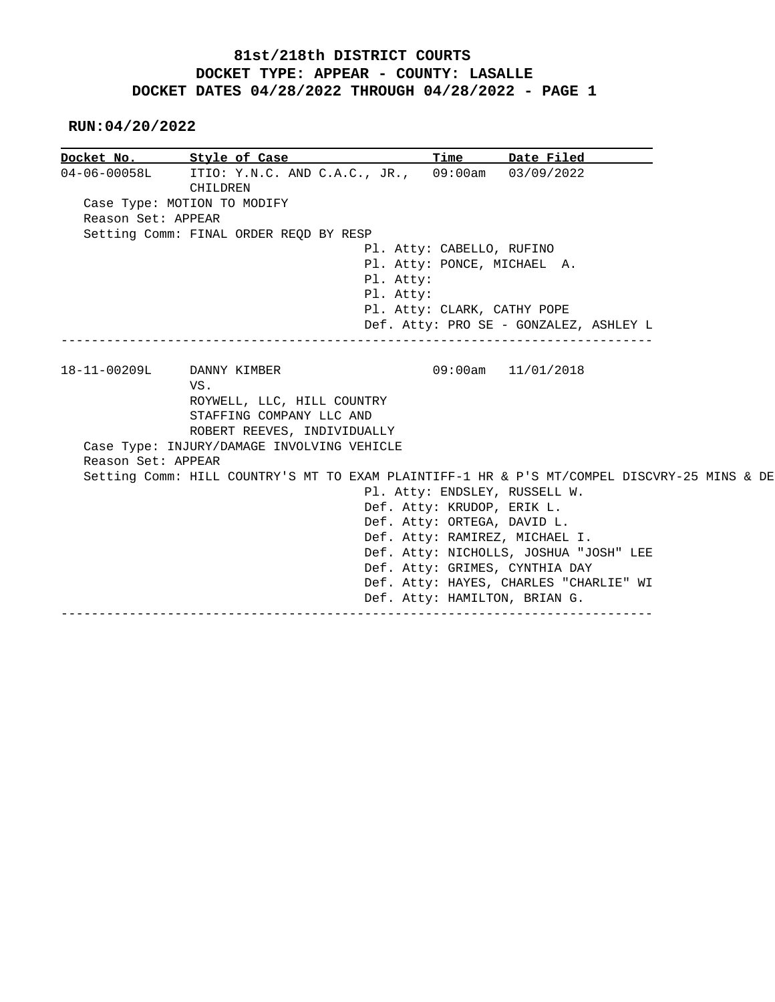**RUN:04/20/2022**

| Docket No.         | Style of Case and the style of Case                                                         | Time                          | Date Filed                             |  |
|--------------------|---------------------------------------------------------------------------------------------|-------------------------------|----------------------------------------|--|
| $04 - 06 - 00058L$ | ITIO: Y.N.C. AND C.A.C., JR., 09:00am 03/09/2022<br>CHILDREN                                |                               |                                        |  |
|                    | Case Type: MOTION TO MODIFY                                                                 |                               |                                        |  |
| Reason Set: APPEAR |                                                                                             |                               |                                        |  |
|                    | Setting Comm: FINAL ORDER REQD BY RESP                                                      |                               |                                        |  |
|                    |                                                                                             | Pl. Atty: CABELLO, RUFINO     |                                        |  |
|                    |                                                                                             | Pl. Atty: PONCE, MICHAEL A.   |                                        |  |
|                    | Pl. Atty:                                                                                   |                               |                                        |  |
|                    | Pl. Atty:                                                                                   |                               |                                        |  |
|                    |                                                                                             | Pl. Atty: CLARK, CATHY POPE   |                                        |  |
|                    |                                                                                             |                               | Def. Atty: PRO SE - GONZALEZ, ASHLEY L |  |
|                    |                                                                                             |                               |                                        |  |
| 18-11-00209L       | DANNY KIMBER                                                                                |                               | $09:00$ am $11/01/2018$                |  |
|                    | VS.                                                                                         |                               |                                        |  |
|                    | ROYWELL, LLC, HILL COUNTRY                                                                  |                               |                                        |  |
|                    | STAFFING COMPANY LLC AND                                                                    |                               |                                        |  |
|                    | ROBERT REEVES, INDIVIDUALLY                                                                 |                               |                                        |  |
|                    | Case Type: INJURY/DAMAGE INVOLVING VEHICLE                                                  |                               |                                        |  |
| Reason Set: APPEAR |                                                                                             |                               |                                        |  |
|                    | Setting Comm: HILL COUNTRY'S MT TO EXAM PLAINTIFF-1 HR & P'S MT/COMPEL DISCVRY-25 MINS & DE |                               |                                        |  |
|                    |                                                                                             |                               | Pl. Atty: ENDSLEY, RUSSELL W.          |  |
|                    |                                                                                             | Def. Atty: KRUDOP, ERIK L.    |                                        |  |
|                    |                                                                                             | Def. Atty: ORTEGA, DAVID L.   |                                        |  |
|                    |                                                                                             |                               | Def. Atty: RAMIREZ, MICHAEL I.         |  |
|                    |                                                                                             |                               | Def. Atty: NICHOLLS, JOSHUA "JOSH" LEE |  |
|                    |                                                                                             |                               | Def. Atty: GRIMES, CYNTHIA DAY         |  |
|                    |                                                                                             |                               | Def. Atty: HAYES, CHARLES "CHARLIE" WI |  |
|                    |                                                                                             | Def. Atty: HAMILTON, BRIAN G. |                                        |  |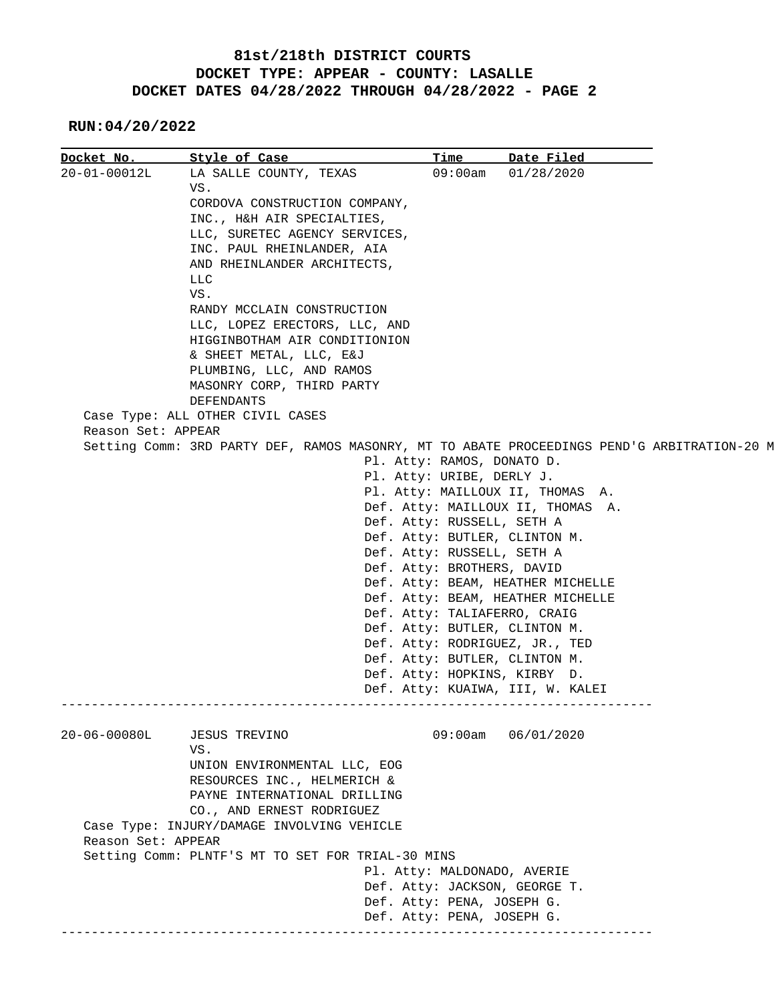**RUN:04/20/2022**

| Docket No.         | <u>Style of Case</u>                                                                                                                                                                                                                          | Time                                                                                                                                                                                                                                                                                                                                                                                                                                                                                                                                          | Date Filed                                                                                  |
|--------------------|-----------------------------------------------------------------------------------------------------------------------------------------------------------------------------------------------------------------------------------------------|-----------------------------------------------------------------------------------------------------------------------------------------------------------------------------------------------------------------------------------------------------------------------------------------------------------------------------------------------------------------------------------------------------------------------------------------------------------------------------------------------------------------------------------------------|---------------------------------------------------------------------------------------------|
| 20-01-00012L       | LA SALLE COUNTY, TEXAS<br>VS.<br>CORDOVA CONSTRUCTION COMPANY,<br>INC., H&H AIR SPECIALTIES,<br>LLC, SURETEC AGENCY SERVICES,<br>INC. PAUL RHEINLANDER, AIA<br>AND RHEINLANDER ARCHITECTS,<br><b>LLC</b><br>VS.<br>RANDY MCCLAIN CONSTRUCTION | 09:00am                                                                                                                                                                                                                                                                                                                                                                                                                                                                                                                                       | 01/28/2020                                                                                  |
|                    | LLC, LOPEZ ERECTORS, LLC, AND<br>HIGGINBOTHAM AIR CONDITIONION<br>& SHEET METAL, LLC, E&J<br>PLUMBING, LLC, AND RAMOS<br>MASONRY CORP, THIRD PARTY<br>DEFENDANTS<br>Case Type: ALL OTHER CIVIL CASES                                          |                                                                                                                                                                                                                                                                                                                                                                                                                                                                                                                                               |                                                                                             |
| Reason Set: APPEAR |                                                                                                                                                                                                                                               |                                                                                                                                                                                                                                                                                                                                                                                                                                                                                                                                               |                                                                                             |
|                    |                                                                                                                                                                                                                                               | Pl. Atty: RAMOS, DONATO D.<br>Pl. Atty: URIBE, DERLY J.<br>Pl. Atty: MAILLOUX II, THOMAS A.<br>Def. Atty: MAILLOUX II, THOMAS A.<br>Def. Atty: RUSSELL, SETH A<br>Def. Atty: BUTLER, CLINTON M.<br>Def. Atty: RUSSELL, SETH A<br>Def. Atty: BROTHERS, DAVID<br>Def. Atty: BEAM, HEATHER MICHELLE<br>Def. Atty: BEAM, HEATHER MICHELLE<br>Def. Atty: TALIAFERRO, CRAIG<br>Def. Atty: BUTLER, CLINTON M.<br>Def. Atty: RODRIGUEZ, JR., TED<br>Def. Atty: BUTLER, CLINTON M.<br>Def. Atty: HOPKINS, KIRBY D.<br>Def. Atty: KUAIWA, III, W. KALEI | Setting Comm: 3RD PARTY DEF, RAMOS MASONRY, MT TO ABATE PROCEEDINGS PEND'G ARBITRATION-20 M |
| $20 - 06 - 00080L$ | <b>JESUS TREVINO</b><br>VS.<br>UNION ENVIRONMENTAL LLC, EOG<br>RESOURCES INC., HELMERICH &<br>PAYNE INTERNATIONAL DRILLING<br>CO., AND ERNEST RODRIGUEZ<br>Case Type: INJURY/DAMAGE INVOLVING VEHICLE                                         | 09:00am                                                                                                                                                                                                                                                                                                                                                                                                                                                                                                                                       | 06/01/2020                                                                                  |
| Reason Set: APPEAR |                                                                                                                                                                                                                                               |                                                                                                                                                                                                                                                                                                                                                                                                                                                                                                                                               |                                                                                             |
|                    | Setting Comm: PLNTF'S MT TO SET FOR TRIAL-30 MINS                                                                                                                                                                                             | Pl. Atty: MALDONADO, AVERIE<br>Def. Atty: JACKSON, GEORGE T.<br>Def. Atty: PENA, JOSEPH G.<br>Def. Atty: PENA, JOSEPH G.                                                                                                                                                                                                                                                                                                                                                                                                                      |                                                                                             |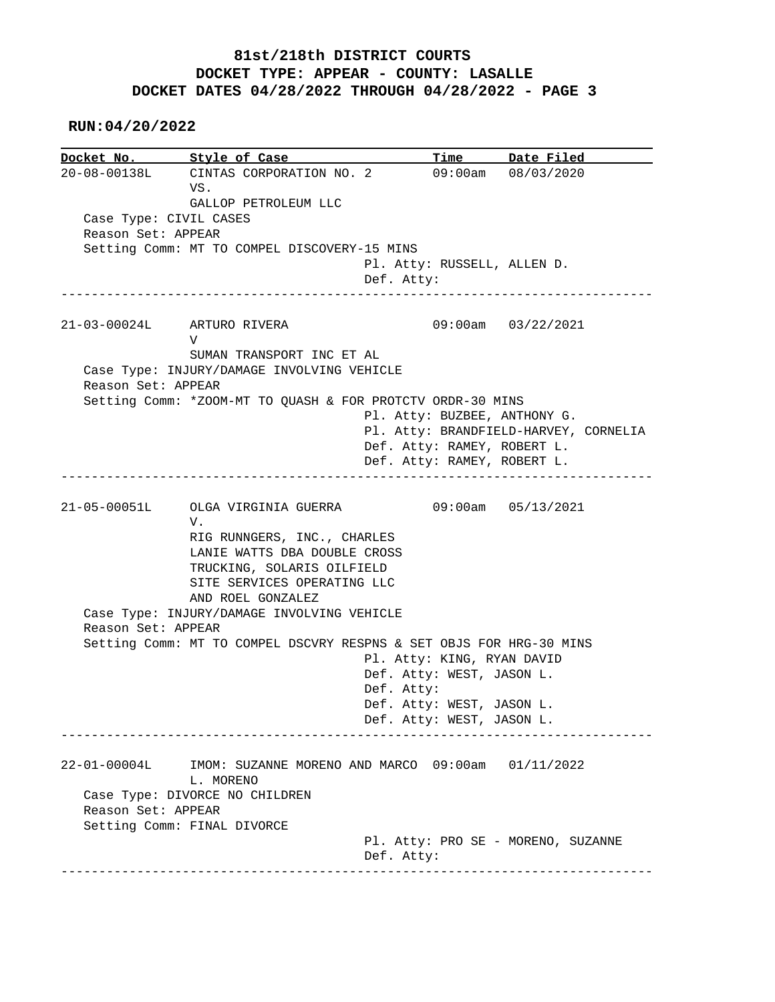**RUN:04/20/2022**

**Docket No. Style of Case Time Date Filed**<br>20-08-00138L CINTAS CORPORATION NO. 2 09:00am 08/03/2020 20-08-00138L CINTAS CORPORATION NO. 2 09:00am 08/03/2020 VS. GALLOP PETROLEUM LLC Case Type: CIVIL CASES Reason Set: APPEAR Setting Comm: MT TO COMPEL DISCOVERY-15 MINS Pl. Atty: RUSSELL, ALLEN D. Def. Atty: ------------------------------------------------------------------------------ 21-03-00024L ARTURO RIVERA 09:00am 03/22/2021 V SUMAN TRANSPORT INC ET AL Case Type: INJURY/DAMAGE INVOLVING VEHICLE Reason Set: APPEAR Setting Comm: \*ZOOM-MT TO QUASH & FOR PROTCTV ORDR-30 MINS Pl. Atty: BUZBEE, ANTHONY G. Pl. Atty: BRANDFIELD-HARVEY, CORNELIA Def. Atty: RAMEY, ROBERT L. Def. Atty: RAMEY, ROBERT L. ------------------------------------------------------------------------------ 21-05-00051L OLGA VIRGINIA GUERRA 09:00am 05/13/2021 V. RIG RUNNGERS, INC., CHARLES LANIE WATTS DBA DOUBLE CROSS TRUCKING, SOLARIS OILFIELD SITE SERVICES OPERATING LLC AND ROEL GONZALEZ Case Type: INJURY/DAMAGE INVOLVING VEHICLE Reason Set: APPEAR Setting Comm: MT TO COMPEL DSCVRY RESPNS & SET OBJS FOR HRG-30 MINS Pl. Atty: KING, RYAN DAVID Def. Atty: WEST, JASON L. Def. Atty: Def. Atty: WEST, JASON L. Def. Atty: WEST, JASON L. ------------------------------------------------------------------------------ 22-01-00004L IMOM: SUZANNE MORENO AND MARCO 09:00am 01/11/2022 L. MORENO Case Type: DIVORCE NO CHILDREN Reason Set: APPEAR Setting Comm: FINAL DIVORCE Pl. Atty: PRO SE - MORENO, SUZANNE Def. Atty: ------------------------------------------------------------------------------